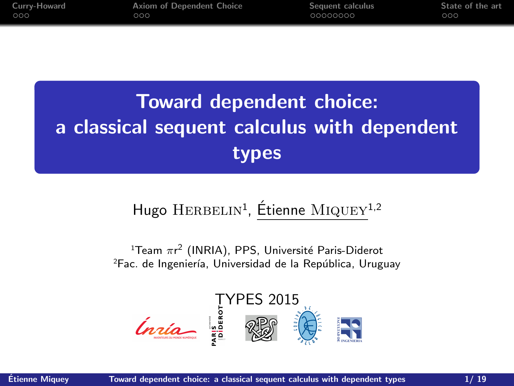<span id="page-0-0"></span>

| Curry-Howard | Axiom of Dependent Choice | Sequent calculus | State of the art |
|--------------|---------------------------|------------------|------------------|
| 000          | 000                       | 00000000         | 000              |

# Toward dependent choice: a classical sequent calculus with dependent types

# Hugo HERBELIN<sup>1</sup>, Étienne MIQUEY<sup>1,2</sup>

 $^{\rm 1}$ Team  $\pi$ r $^{\rm 2}$  (INRIA), PPS, Université Paris-Diderot <sup>2</sup>Fac. de Ingeniería, Universidad de la República, Uruguay

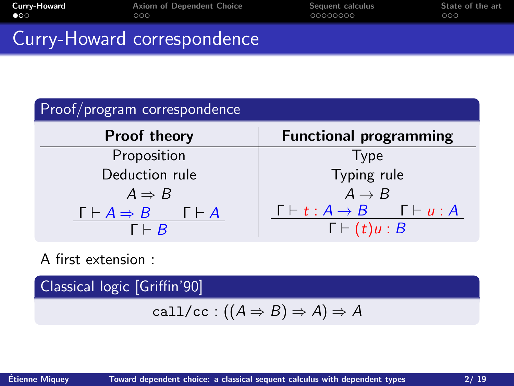<span id="page-1-0"></span>

| Curry-Howard | Axiom of Dependent Choice   | Sequent calculus | State of the art |
|--------------|-----------------------------|------------------|------------------|
| $\bullet$ 00 | ೧೧೧                         | 00000000         | 000              |
|              | Curry-Howard correspondence |                  |                  |

| Proof/program correspondence                                           |                                                                                   |  |  |
|------------------------------------------------------------------------|-----------------------------------------------------------------------------------|--|--|
| <b>Proof theory</b>                                                    | <b>Functional programming</b>                                                     |  |  |
| Proposition                                                            | <b>Type</b>                                                                       |  |  |
| Deduction rule                                                         | Typing rule                                                                       |  |  |
| $A \Rightarrow B$                                                      | $A \rightarrow B$                                                                 |  |  |
| $\Gamma \vdash A \Rightarrow B$ $\Gamma \vdash A$<br>$\Gamma \vdash R$ | $\Gamma \vdash t:A \rightarrow B$ $\Gamma \vdash u:A$<br>$\Gamma \vdash (t)u : B$ |  |  |

A first extension :

Classical logic [Griffin'90]

$$
call/cc : ((A \Rightarrow B) \Rightarrow A) \Rightarrow A
$$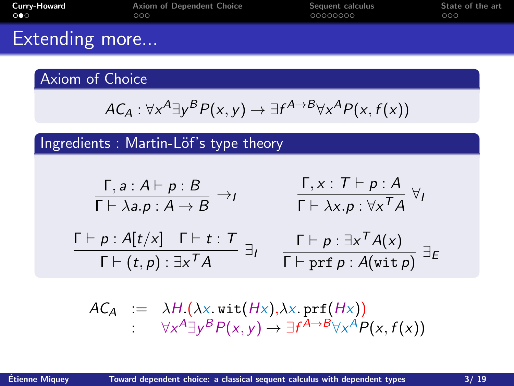| Extending more        |                           |                  |                  |
|-----------------------|---------------------------|------------------|------------------|
| Curry-Howard          | Axiom of Dependent Choice | Sequent calculus | State of the art |
| $\circ \bullet \circ$ | 000                       | 00000000         | 000              |

## Axiom of Choice

$$
AC_A: \forall x^A \exists y^B P(x, y) \rightarrow \exists f^{A \rightarrow B} \forall x^A P(x, f(x))
$$

Ingredients : Martin-Löf's type theory

$$
\frac{\Gamma, a : A \vdash p : B}{\Gamma \vdash \lambda a.p : A \rightarrow B} \rightarrow_I \qquad \frac{\Gamma, x : T \vdash p : A}{\Gamma \vdash \lambda x.p : \forall x^T A} \forall_I
$$
\n
$$
\frac{\Gamma \vdash p : A[t/x] \quad \Gamma \vdash t : T}{\Gamma \vdash (t, p) : \exists x^T A} \exists_I \qquad \frac{\Gamma \vdash p : \exists x^T A(x)}{\Gamma \vdash prf p : A(\text{wit } p)} \exists_E
$$

$$
\begin{array}{rcl}\nAC_A & := & \lambda H.(\lambda \times \text{wit}(H \times), \lambda \times \text{prf}(H \times)) \\
& : & \forall x^A \exists y^B P(x, y) \rightarrow \exists f^{A \rightarrow B} \forall x^A P(x, f(x))\n\end{array}
$$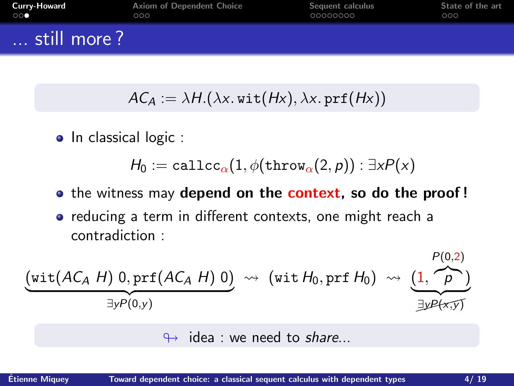| <b>Curry-Howard</b> | Axiom of Dependent Choice | Sequent calculus | State of the art |
|---------------------|---------------------------|------------------|------------------|
| $\circ$ $\circ$     | 000                       | 00000000         | 000              |
| still more?         |                           |                  |                  |

$$
AC_A := \lambda H.(\lambda x. \text{wit}(Hx), \lambda x. \text{prf}(Hx))
$$

• In classical logic :

 $H_0 := \text{calculate}_{\alpha}(1, \phi(\text{throw}_{\alpha}(2, p)) : \exists x P(x)$ 

- the witness may depend on the context, so do the proof!
- reducing a term in different contexts, one might reach a contradiction :

$$
\underbrace{\left(\text{wit}(AC_A H) 0, \text{prf}(AC_A H) 0\right)}_{\exists y P(0,y)} \rightsquigarrow \left(\text{wit }H_0, \text{prf }H_0\right) \rightsquigarrow \underbrace{\left(1, \stackrel{P(0,2)}{\longrightarrow}\right)}_{\exists y P(x,y)}
$$

 $\leftrightarrow$  idea : we need to share...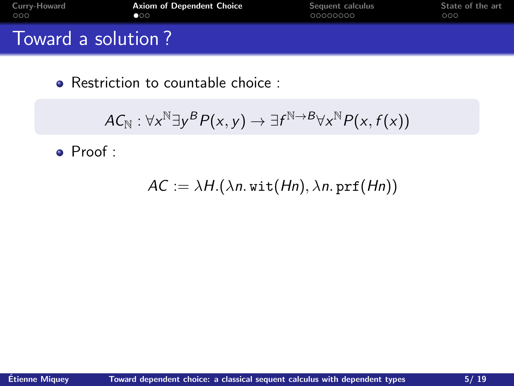<span id="page-4-0"></span>

| Curry-Howard       | <b>Axiom of Dependent Choice</b> | Sequent calculus | State of the art |
|--------------------|----------------------------------|------------------|------------------|
| 000                | 100                              | 00000000         | ೧೦೦              |
| Toward a solution? |                                  |                  |                  |

$$
AC_{\mathbb{N}} : \forall x^{\mathbb{N}} \exists y^B P(x, y) \rightarrow \exists f^{\mathbb{N} \rightarrow B} \forall x^{\mathbb{N}} P(x, f(x))
$$

Proof :

 $AC := \lambda H.(\lambda n. \text{wit}(Hn), \lambda n. \text{prf}(Hn))$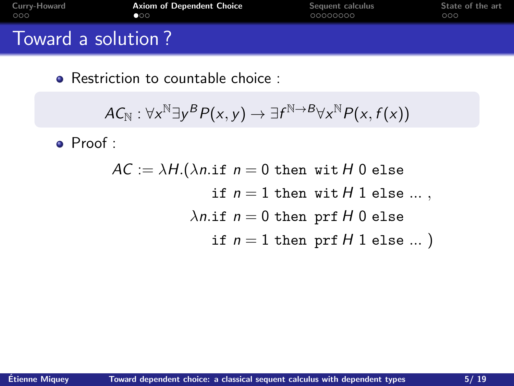| Curry-Howard       | <b>Axiom of Dependent Choice</b> | Sequent calculus | State of the art |
|--------------------|----------------------------------|------------------|------------------|
| 000                | 100                              | 00000000         | 000              |
| Toward a solution? |                                  |                  |                  |

$$
AC_{\mathbb{N}}:\forall \mathsf{x}^{\mathbb{N}} \exists \mathsf{y}^{\mathsf{B}} \mathsf{P}(\mathsf{x}, \mathsf{y}) \rightarrow \exists \mathsf{f}^{\mathbb{N} \rightarrow \mathsf{B}} \forall \mathsf{x}^{\mathbb{N}} \mathsf{P}(\mathsf{x}, \mathsf{f}(\mathsf{x}))
$$

Proof :

 $AC := \lambda H.(\lambda n \text{ if } n = 0 \text{ then with } H 0 \text{ else})$ if  $n = 1$  then wit  $H$  1 else ...,  $\lambda$ n.if  $n = 0$  then prf H 0 else if  $n = 1$  then prf  $H$  1 else ...)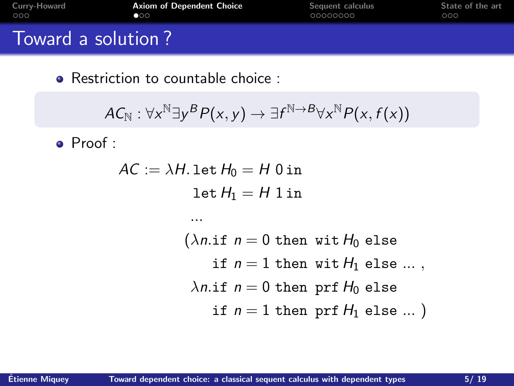| Curry-Howard       | <b>Axiom of Dependent Choice</b> | Sequent calculus | State of the art |
|--------------------|----------------------------------|------------------|------------------|
| 000                | 100                              | 00000000         | 000              |
| Toward a solution? |                                  |                  |                  |

$$
\mathcal{A}\mathcal{C}_{\mathbb{N}}:\forall \mathsf{x}^{\mathbb{N}}\exists \mathsf{y}^{\mathcal{B}}\mathcal{P}(\mathsf{x},\mathsf{y})\rightarrow\exists \mathsf{f}^{\mathbb{N}\rightarrow \mathcal{B}}\forall \mathsf{x}^{\mathbb{N}}\mathcal{P}(\mathsf{x},\mathsf{f}(\mathsf{x}))
$$

Proof :

$$
AC := \lambda H. \text{ let } H_0 = H \text{ 0 in } \\ \text{let } H_1 = H \text{ 1 in } \\ ... \\ (\lambda n. \text{if } n = 0 \text{ then wit } H_0 \text{ else } \\ \text{if } n = 1 \text{ then wit } H_1 \text{ else } ... \text{,} \\ \lambda n. \text{if } n = 0 \text{ then prf } H_0 \text{ else } ... \text{)} \\ \text{if } n = 1 \text{ then prf } H_1 \text{ else } ... \text{)} \\
$$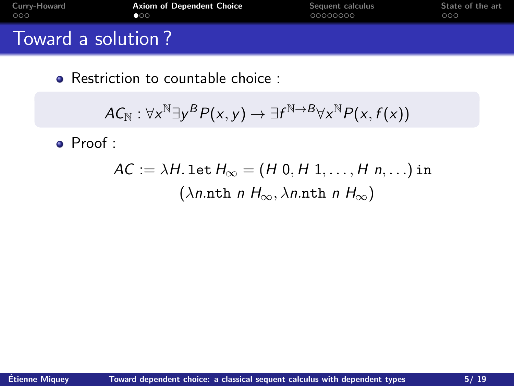| Curry-Howard       | <b>Axiom of Dependent Choice</b> | Sequent calculus | State of the art |
|--------------------|----------------------------------|------------------|------------------|
| 000                | 100                              | 00000000         | 000              |
| Toward a solution? |                                  |                  |                  |

$$
AC_{\mathbb{N}}:\forall \mathsf{x}^{\mathbb{N}} \exists \mathsf{y}^{\mathsf{B}} \mathsf{P}(\mathsf{x}, \mathsf{y}) \rightarrow \exists \mathsf{f}^{\mathbb{N} \rightarrow \mathsf{B}} \forall \mathsf{x}^{\mathbb{N}} \mathsf{P}(\mathsf{x}, \mathsf{f}(\mathsf{x}))
$$

Proof :

$$
AC := \lambda H. \text{ let } H_{\infty} = (H \ 0, H \ 1, \dots, H \ n, \dots) \text{ in } \newline (\lambda n. \text{nth } n \ H_{\infty}, \lambda n. \text{nth } n \ H_{\infty})
$$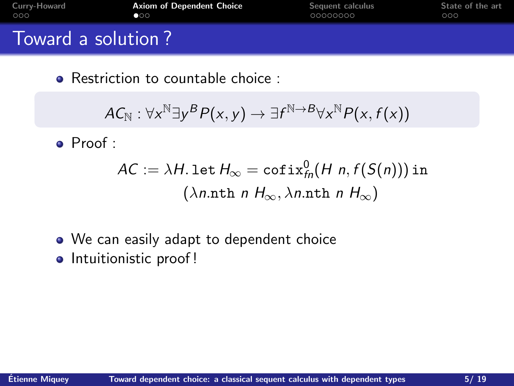| Curry-Howard       | <b>Axiom of Dependent Choice</b> | Sequent calculus | State of the art |
|--------------------|----------------------------------|------------------|------------------|
| 000                | 100                              | 00000000         | 000              |
| Toward a solution? |                                  |                  |                  |

$$
AC_{\mathbb{N}}: \forall \mathsf{x}^{\mathbb{N}} \exists \mathsf{y}^{\mathsf{B}} \mathsf{P}(\mathsf{x}, \mathsf{y}) \rightarrow \exists \mathsf{f}^{\mathbb{N} \rightarrow \mathsf{B}} \forall \mathsf{x}^{\mathbb{N}} \mathsf{P}(\mathsf{x}, \mathsf{f}(\mathsf{x}))
$$

Proof :

$$
AC := \lambda H. \text{let } H_{\infty} = \text{cofix}_{fn}^0(H \ n, f(S(n))) \text{ in } \newline (\lambda n. \text{nth } n \ H_{\infty}, \lambda n. \text{nth } n \ H_{\infty})
$$

- We can easily adapt to dependent choice
- Intuitionistic proof!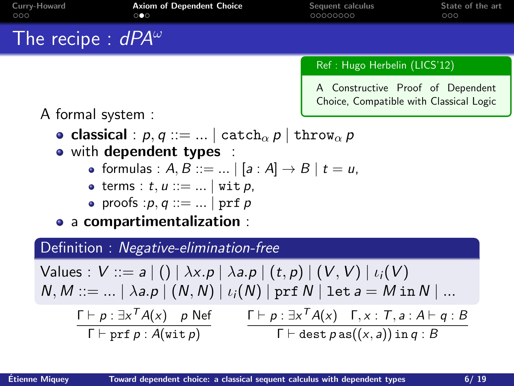| Curry-Howard<br>000         | <b>Axiom of Dependent Choice</b><br>$\circ \bullet \circ$                                                   | Sequent calculus<br>00000000                                                 | State of the art<br>000 |
|-----------------------------|-------------------------------------------------------------------------------------------------------------|------------------------------------------------------------------------------|-------------------------|
| The recipe : $dPA^{\omega}$ |                                                                                                             |                                                                              |                         |
|                             |                                                                                                             | Ref: Hugo Herbelin (LICS'12)                                                 |                         |
|                             |                                                                                                             | A Constructive Proof of Dependent<br>Choice, Compatible with Classical Logic |                         |
| A formal system :           | • classical : $p, q ::=    \text{ catch}_{\alpha} p   \text{ throw}_{\alpha} p$<br>• with dependent types : |                                                                              |                         |
|                             | • formulas : $A, B ::=    [a : A] \rightarrow B   t = u$ ,                                                  |                                                                              |                         |
|                             | • terms : $t, u ::=   $ wit $p$ ,                                                                           |                                                                              |                         |
|                             | • proofs : $p, q ::=    prf p$                                                                              |                                                                              |                         |
|                             | a compartimentalization :                                                                                   |                                                                              |                         |

## Definition : Negative-elimination-free

Values :  $V ::= a | () | \lambda x.p | \lambda a.p | (t, p) | (V, V) | i<sub>i</sub>(V)$  $N, M ::= ... | \lambda a.p | (N, N) | \iota_i(N) | prf N | let a = M in N | ...$  $\Gamma \vdash p : \exists x^T A(x)$  p Nef  $\Gamma \vdash \mathtt{prf}\, p : A(\mathtt{wit}\, p)$  $\Gamma \vdash p : \exists x^T A(x) \quad \Gamma, x : \mathcal{T}, a : A \vdash q : B$  $\Gamma \vdash \mathtt{dest} \, p \, \mathtt{as}((x,a))$  in  $q : B$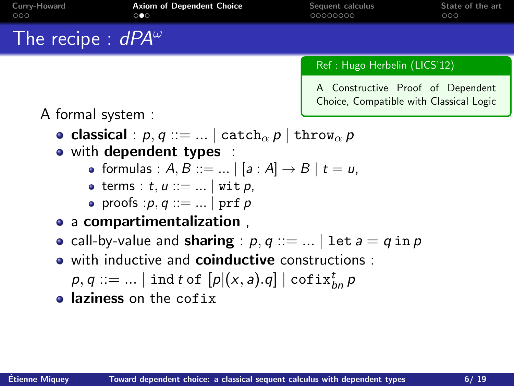| Curry-Howard<br>000               | <b>Axiom of Dependent Choice</b><br>$\circ \bullet \circ$                                                                                         | Sequent calculus<br>00000000                                                 | State of the art<br>000 |
|-----------------------------------|---------------------------------------------------------------------------------------------------------------------------------------------------|------------------------------------------------------------------------------|-------------------------|
| The recipe : $dPA^{\omega}$       |                                                                                                                                                   |                                                                              |                         |
|                                   |                                                                                                                                                   | Ref: Hugo Herbelin (LICS'12)                                                 |                         |
| A formal system :                 |                                                                                                                                                   | A Constructive Proof of Dependent<br>Choice, Compatible with Classical Logic |                         |
|                                   | • classical : $p, q ::=    \text{ catch}_{\alpha} p   \text{ throw}_{\alpha} p$<br>• with dependent types :                                       |                                                                              |                         |
|                                   | • formulas : $A, B ::=    [a : A] \rightarrow B   t = u$ ,                                                                                        |                                                                              |                         |
| • terms : $t, u ::=   $ wit $p$ , |                                                                                                                                                   |                                                                              |                         |
|                                   | • proofs : $p, q ::=    prf p$<br>the contract of the contract of the contract of the contract of the contract of the contract of the contract of |                                                                              |                         |

- a compartimentalization ,
- call-by-value and sharing :  $p, q ::= ... \mid \det a = q \text{ in } p$
- with inductive and **coinductive** constructions :
	- $p,q ::= ... \mid \mathtt{ind}\ t$  of  $\left[p|(x,a).q\right] \mid \mathtt{cofix}_{bn}^{t}$   $p$
- **a** laziness on the cofix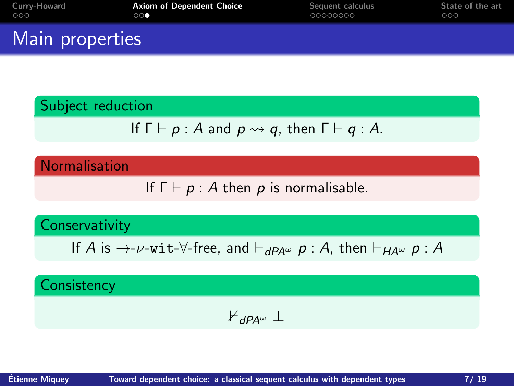| Curry-Howard    | <b>Axiom of Dependent Choice</b> | Sequent calculus | State of the art |
|-----------------|----------------------------------|------------------|------------------|
| 000             | $\circ\circ\bullet$              | 00000000         | 000              |
| Main properties |                                  |                  |                  |

#### Subject reduction

If 
$$
\Gamma \vdash p : A
$$
 and  $p \leadsto q$ , then  $\Gamma \vdash q : A$ .

**Normalisation** 

If  $\Gamma \vdash p : A$  then p is normalisable.

#### **Conservativity**

If A is  $\rightarrow$ -v-wit- $\forall$ -free, and  $\vdash_{dPA^{\omega}} p : A$ , then  $\vdash_{HA^{\omega}} p : A$ 

### **Consistency**

$$
\nvdash_{\mathit{dPA}^\omega} \bot
$$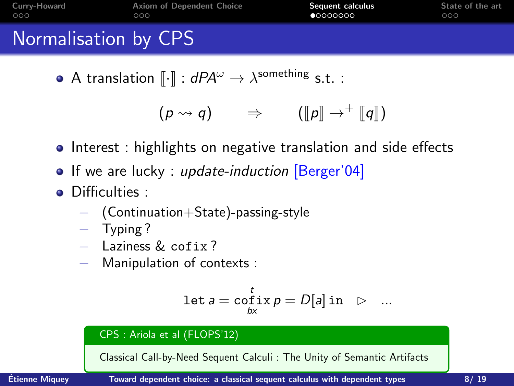<span id="page-12-0"></span>

| Curry-Howard         | <b>Axiom of Dependent Choice</b> | Sequent calculus | State of the art |
|----------------------|----------------------------------|------------------|------------------|
| 000                  | ೧೦೦                              | •00000000        | 000              |
| Normalisation by CPS |                                  |                  |                  |

A translation  $\llbracket \cdot \rrbracket : dP A^{\omega} \to \lambda^{\text{something}}$  s.t. :

$$
(p \rightsquigarrow q) \qquad \Rightarrow \qquad ([p] \rightarrow^+ [q])
$$

- **•** Interest : highlights on negative translation and side effects
- If we are lucky : update-induction [Berger'04]
- **•** Difficulties :
	- − (Continuation+State)-passing-style
	- − Typing ?
	- − Laziness & cofix ?
	- − Manipulation of contexts :

$$
\text{let } a = \operatornamewithlimits{cofix}_{bx} p = D[a] \text{ in } \triangleright \dots
$$

#### CPS : Ariola et al (FLOPS'12)

Classical Call-by-Need Sequent Calculi : The Unity of Semantic Artifacts

 $\frac{1}{2}$  Etienne Miquey  $\frac{1}{2}$  [Toward dependent choice: a classical sequent calculus with dependent types](#page-0-0)  $\frac{8}{19}$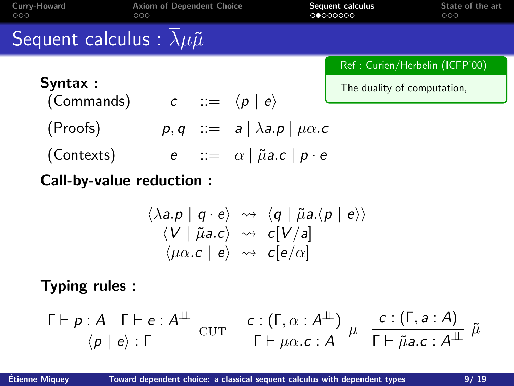| Curry-Howard<br>000                                  | <b>Axiom of Dependent Choice</b><br>000 |                                                                                                                                                                                              | Sequent calculus<br>00000000   | State of the art<br>000 |
|------------------------------------------------------|-----------------------------------------|----------------------------------------------------------------------------------------------------------------------------------------------------------------------------------------------|--------------------------------|-------------------------|
| Sequent calculus : $\lambda \mu \tilde{\mu}$         |                                         |                                                                                                                                                                                              |                                |                         |
|                                                      |                                         |                                                                                                                                                                                              | Ref: Curien/Herbelin (ICFP'00) |                         |
| Syntax :<br>(Commands) $c ::= \langle p   e \rangle$ |                                         |                                                                                                                                                                                              | The duality of computation,    |                         |
| (Proofs)                                             |                                         | $p, q$ ::= $a   \lambda a.p   \mu \alpha.c$                                                                                                                                                  |                                |                         |
| (Contexts)                                           |                                         | $e$ : $\alpha$   $\tilde{\mu}$ a.c   $p \cdot e$                                                                                                                                             |                                |                         |
| Call-by-value reduction :                            |                                         |                                                                                                                                                                                              |                                |                         |
|                                                      |                                         | $\langle \lambda a.p \mid q \cdot e \rangle \rightsquigarrow \langle q \mid \tilde{\mu} a.\langle p \mid e \rangle \rangle$<br>$\langle V   \tilde{\mu} a.c \rangle \rightsquigarrow c[V/a]$ |                                |                         |

Typing rules :

$$
\frac{\Gamma\vdash p:A\quad \Gamma\vdash e:A^{\perp\!\!\!\perp}}{\langle p\mid e\rangle:\Gamma}\quad \text{cur}\quad \frac{c:(\Gamma,\alpha:A^{\perp\!\!\!\perp})}{\Gamma\vdash \mu\alpha.c:A}\;\mu\quad \frac{c:(\Gamma,a:A)}{\Gamma\vdash \tilde{\mu}a.c:A^{\perp\!\!\!\perp}}\;\tilde{\mu}
$$

 $\langle \mu \alpha.c \mid e \rangle \rightsquigarrow c[e/\alpha]$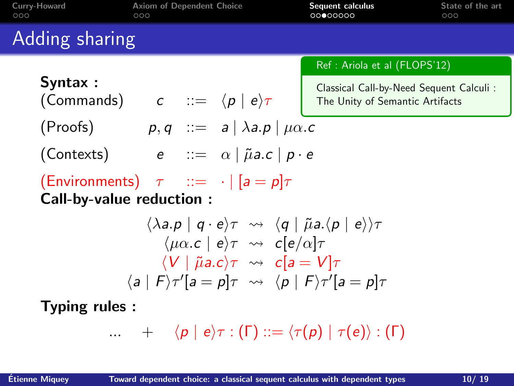| Adding sharing                                                                                                                                                                                                                                                                                                                                                                                                             |  |
|----------------------------------------------------------------------------------------------------------------------------------------------------------------------------------------------------------------------------------------------------------------------------------------------------------------------------------------------------------------------------------------------------------------------------|--|
| Ref : Ariola et al (FLOPS'12)                                                                                                                                                                                                                                                                                                                                                                                              |  |
| Syntax:<br>Classical Call-by-Need Sequent Calculi:<br>(Commands) $c ::= \langle p   e \rangle \tau$<br>The Unity of Semantic Artifacts                                                                                                                                                                                                                                                                                     |  |
| $p, q \ ::= a \mid \lambda a.p \mid \mu \alpha.c$<br>(Proofs)                                                                                                                                                                                                                                                                                                                                                              |  |
| (Contexts) $e ::= \alpha   \tilde{\mu} a.c   p \cdot e$                                                                                                                                                                                                                                                                                                                                                                    |  |
| (Environments) $\tau$ ::= $\cdot$ $ a = p \tau$<br>Call-by-value reduction:                                                                                                                                                                                                                                                                                                                                                |  |
| $\langle \lambda a.p \mid q \cdot e \rangle \tau \rightsquigarrow \langle q \mid \tilde{\mu} a.\langle p \mid e \rangle \rangle \tau$<br>$\langle \mu \alpha . c \mid e \rangle \tau \rightsquigarrow c \cdot [e/\alpha] \tau$<br>$\langle V   \tilde{\mu} a.c \rangle \tau \rightsquigarrow c [a = V] \tau$<br>$\langle a \mid F \rangle \tau' [a = p] \tau \rightsquigarrow \langle p \mid F \rangle \tau' [a = p] \tau$ |  |
| Typing rules:                                                                                                                                                                                                                                                                                                                                                                                                              |  |
| $\ldots$ $+$ $\langle p   e \rangle \tau : (\Gamma) ::= \langle \tau(p)   \tau(e) \rangle : (\Gamma)$                                                                                                                                                                                                                                                                                                                      |  |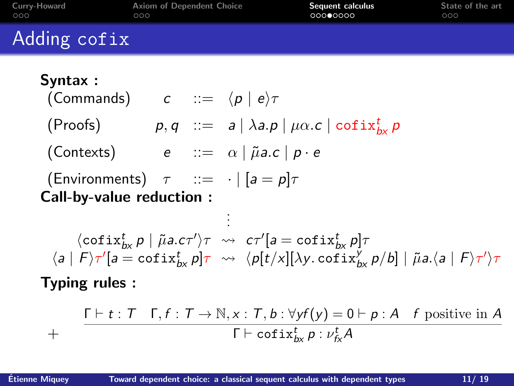| Curry-Howard<br>000 | Axiom of Dependent Choice<br>000 | Sequent calculus<br>00000000 | State of the art<br>000 |
|---------------------|----------------------------------|------------------------------|-------------------------|
| Adding cofix        |                                  |                              |                         |
| Syntax :            |                                  |                              |                         |

(Commands) 
$$
c ::= \langle p | e \rangle \tau
$$

(Proofs)  $p, q$  ::=  $a | \lambda a.p | \mu \alpha.c | \text{cofix}_{bx}^t p$ 

.

(Contexts)  $e := \alpha | \tilde{\mu} a.c | p \cdot e$ 

(Environments)  $\tau$  ::=  $\cdot$  | [a = p] $\tau$ Call-by-value reduction :

. .  $\langle \text{cofix}_{b\mathsf{x}}^t \, \mathsf{p} \mid \tilde{\mu} \mathsf{a}.\mathsf{c} \tau' \rangle \tau \; \rightsquigarrow \; \mathsf{c} \tau' [ \mathsf{a} = \text{cofix}_{b\mathsf{x}}^t \, \mathsf{p} ] \tau$  $\langle a | F \rangle \tau' [a = \text{cofix}_{bx}^t p] \tau \rightsquigarrow \langle p[t/x][\lambda y. \text{cofix}_{bx}^y p/b] | \tilde{\mu} a. \langle a | F \rangle \tau' \rangle \tau$ 

Typing rules :

$$
+\qquad \frac{\Gamma\vdash t:T\quad\Gamma,f:T\to\mathbb{N},x:T,b:\forall yf(y)=0\vdash p:A\quad f\text{ positive in }A}{\Gamma\vdash \text{cofix}_{bx}^t\ p:\nu_{fx}^tA}
$$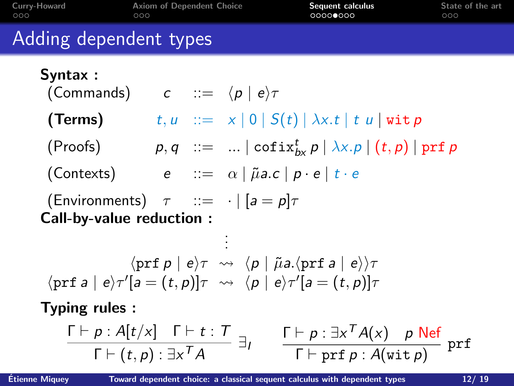| Curry-Howard<br>000             | <b>Axiom of Dependent Choice</b><br>000                                                                                                                                                                                                                           | Sequent calculus<br>0000●000                                                                                                | State of the art<br>000 |
|---------------------------------|-------------------------------------------------------------------------------------------------------------------------------------------------------------------------------------------------------------------------------------------------------------------|-----------------------------------------------------------------------------------------------------------------------------|-------------------------|
| Adding dependent types          |                                                                                                                                                                                                                                                                   |                                                                                                                             |                         |
| Syntax:                         | (Commands) $c := \langle p   e \rangle \tau$                                                                                                                                                                                                                      |                                                                                                                             |                         |
| (Terms)                         |                                                                                                                                                                                                                                                                   | $t, u$ ::= $x   0   S(t)   \lambda x. t   t u   with p$                                                                     |                         |
|                                 |                                                                                                                                                                                                                                                                   | (Proofs) $p, q ::=    \text{cofix}_{bx}^t p   \lambda x. p   (t, p)   \text{prf } p$                                        |                         |
|                                 | (Contexts) $e := \alpha   \tilde{\mu} a.c   p \cdot e   t \cdot e$                                                                                                                                                                                                |                                                                                                                             |                         |
| <b>Call-by-value reduction:</b> | (Environments) $\tau$ ::= $\cdot$   [a = p] $\tau$                                                                                                                                                                                                                |                                                                                                                             |                         |
|                                 |                                                                                                                                                                                                                                                                   |                                                                                                                             |                         |
|                                 | $\langle \text{prf } p   e \rangle \tau \rightsquigarrow \langle p   \tilde{\mu} a. \langle \text{prf } a   e \rangle \rangle \tau$<br>$\langle \text{prf } a   e \rangle \tau' [a = (t, p)] \tau \rightsquigarrow \langle p   e \rangle \tau' [a = (t, p)] \tau$ |                                                                                                                             |                         |
| <b>Typing rules:</b>            |                                                                                                                                                                                                                                                                   |                                                                                                                             |                         |
|                                 | $\frac{\Gamma\vdash p:A[t/x]\quad \Gamma\vdash t:T}{\Gamma\vdash (t,p):\exists x^TA}\exists t$                                                                                                                                                                    | $\frac{\Gamma \vdash p : \exists x^T A(x) \quad p \text{ Nef}}{\Gamma \vdash \text{prf } p : A(\text{wit } p)} \text{ prf}$ |                         |

 $Étienne Miquey$  [Toward dependent choice: a classical sequent calculus with dependent types](#page-0-0)  $12/ 19$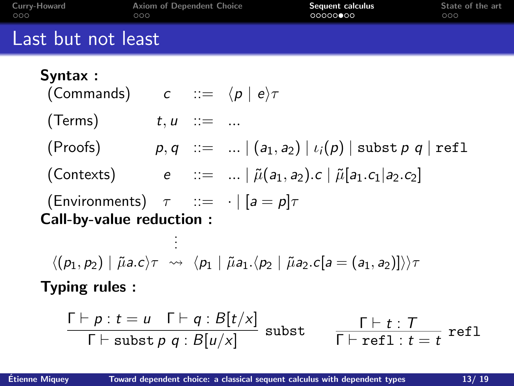| Curry-Howard<br>000                                      | <b>Axiom of Dependent Choice</b><br>000 |                                                                                                                | Sequent calculus<br>00000000                                                                                                                                             | State of the art<br>000                                                          |
|----------------------------------------------------------|-----------------------------------------|----------------------------------------------------------------------------------------------------------------|--------------------------------------------------------------------------------------------------------------------------------------------------------------------------|----------------------------------------------------------------------------------|
| Last but not least                                       |                                         |                                                                                                                |                                                                                                                                                                          |                                                                                  |
| Syntax:<br>(Commands) $c ::= \langle p   e \rangle \tau$ |                                         |                                                                                                                |                                                                                                                                                                          |                                                                                  |
| (Terms)                                                  | $t, u$ ::=                              |                                                                                                                |                                                                                                                                                                          |                                                                                  |
|                                                          |                                         |                                                                                                                | (Proofs) $p, q ::=    (a_1, a_2)   \iota_i(p)  $ subst $p, q  $ refl                                                                                                     |                                                                                  |
|                                                          |                                         |                                                                                                                | (Contexts) $e ::=    \tilde{\mu}(a_1, a_2).c   \tilde{\mu}(a_1, c_1 a_2.c_2)$                                                                                            |                                                                                  |
| Call-by-value reduction :                                |                                         | (Environments) $\tau$ ::= $\cdot$ $ a = p \tau$                                                                |                                                                                                                                                                          |                                                                                  |
|                                                          |                                         |                                                                                                                | $\langle (p_1, p_2)   \tilde{\mu} a.c \rangle \tau \rightsquigarrow \langle p_1   \tilde{\mu} a_1. \langle p_2   \tilde{\mu} a_2.c[a = (a_1, a_2)] \rangle \rangle \tau$ |                                                                                  |
| Typing rules:                                            |                                         |                                                                                                                |                                                                                                                                                                          |                                                                                  |
|                                                          |                                         | $\frac{\Gamma\vdash p : t = u \quad \Gamma\vdash q : B[t/x]}{\Gamma\vdash \text{subst } p \ q : B[u/x]}$ subst |                                                                                                                                                                          | $\frac{\Gamma \vdash t : T}{\Gamma \vdash \operatorname{refl} \cdot t = t}$ refl |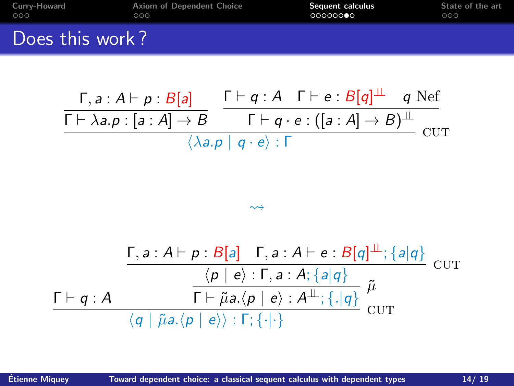| Curry-Howard    | Axiom of Dependent Choice | Sequent calculus | State of the art |
|-----------------|---------------------------|------------------|------------------|
| 000             | 000                       | 00000000         | 000              |
| Does this work? |                           |                  |                  |

$$
\frac{\Gamma, a : A \vdash p : B[a]}{\Gamma \vdash \lambda a.p : [a : A] \rightarrow B} \xrightarrow{\Gamma \vdash q : A \quad \Gamma \vdash e : B[q]^{\perp} \quad q \text{ Nef}}}{\Gamma \vdash q \cdot e : ([a : A] \rightarrow B)^{\perp} \text{ cur}} \cdot \frac{\langle \lambda a.p | q \cdot e \rangle : \Gamma}{\langle \lambda a.p | q \cdot e \rangle : \Gamma}
$$

$$
\frac{\Gamma, a : A \vdash p : B[a] \quad \Gamma, a : A \vdash e : B[q]^{\perp} : \{a|q\}}{\langle p | e \rangle : \Gamma, a : A; \{a|q\}} \quad \text{CUT}
$$
\n
$$
\frac{\Gamma \vdash q : A \qquad \qquad \Gamma \vdash \tilde{\mu}a. \langle p | e \rangle : A^{\perp} : \{.\vert q\}}{\langle q | \tilde{\mu}a. \langle p | e \rangle \rangle : \Gamma; \{\cdot | \cdot \}} \quad \text{CUT}
$$

 $\rightsquigarrow$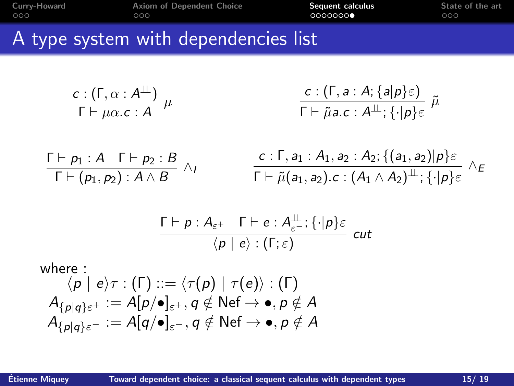| Curry-Howard<br>000 | <b>Axiom of Dependent Choice</b><br>000                                                       | Sequent calculus<br>00000000                                                                                                                                                       | State of the art<br>000 |
|---------------------|-----------------------------------------------------------------------------------------------|------------------------------------------------------------------------------------------------------------------------------------------------------------------------------------|-------------------------|
|                     | A type system with dependencies list                                                          |                                                                                                                                                                                    |                         |
|                     | $\frac{c:(\Gamma,\alpha:A^{\perp\!\!\!\perp})}{\Gamma\vdash \mu\alpha.c:A}\mu$                | $\frac{c:(\Gamma,a:A;\{a p\}\varepsilon)}{\Gamma\vdash \tilde{\mu} a.c:A^{\perp\!\!\!\perp};\{ \cdot  p\}\varepsilon} \tilde{\mu}$                                                 |                         |
|                     | $\frac{\Gamma\vdash p_1:A\quad \Gamma\vdash p_2:B}{\Gamma\vdash (p_1,p_2):A\wedge B}\wedge_I$ | $\frac{c:\Gamma, a_1:A_1, a_2:A_2; \{(a_1,a_2) p\}\varepsilon}{\Gamma\vdash \tilde{\mu}(a_1,a_2).c:(A_1\wedge A_2)^{\perp\!\!\!\perp};\{\cdot p\}\varepsilon}\ \wedge \varepsilon$ |                         |

$$
\frac{\Gamma \vdash p : A_{\varepsilon^+} \quad \Gamma \vdash e : A_{\varepsilon^-}^{\perp} ; \{\cdot | p\} \varepsilon}{\langle p \mid e \rangle : (\Gamma; \varepsilon) } \quad cut
$$

where :  $\langle p | e \rangle \tau : (\Gamma) ::= \langle \tau(p) | \tau(e) \rangle : (\Gamma)$  $A_{\{p\mid q\}\varepsilon^+} := A[p/\bullet]_{\varepsilon^+}, q \notin \mathsf{N}\mathrm{e}\mathrm{f} \to \bullet, p \notin A$  $A_{\{p\mid q\}\in \mathcal{C}} := A[q/\bullet]_{\in \mathcal{C}}, q \notin \mathsf{Nef} \rightarrow \bullet, p \notin A$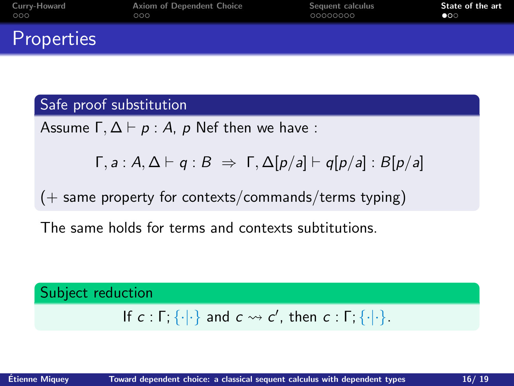<span id="page-20-0"></span>

| Curry-Howard | Axiom of Dependent Choice | Sequent calculus | State of the art |
|--------------|---------------------------|------------------|------------------|
| 000          | 000                       | 00000000         | $\bullet$        |
| Properties   |                           |                  |                  |

#### Safe proof substitution

Assume  $\Gamma, \Delta \vdash p : A$ , p Nef then we have :

$$
\Gamma, a : A, \Delta \vdash q : B \Rightarrow \Gamma, \Delta[p/a] \vdash q[p/a] : B[p/a]
$$

 $(+)$  same property for contexts/commands/terms typing)

The same holds for terms and contexts subtitutions.

# Subject reduction If  $c : \Gamma$ ;  $\{\cdot | \cdot\}$  and  $c \leadsto c'$ , then  $c : \Gamma$ ;  $\{\cdot | \cdot\}$ .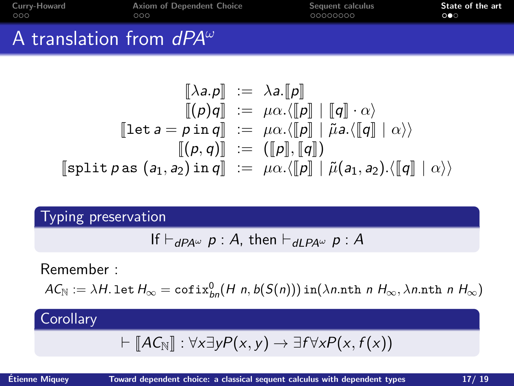| Curry-Howard                      | Axiom of Dependent Choice | Sequent calculus | State of the art |
|-----------------------------------|---------------------------|------------------|------------------|
| 000                               | 000                       | 00000000         | ററ               |
| A translation from $dPA^{\omega}$ |                           |                  |                  |

$$
\begin{array}{rcl}\n[\![\lambda a.p]\!] & := & \lambda a. [\![p]\!] \\
[ \! [(\rho)q]\!] & := & \mu\alpha. \langle [\![p]\!] \mid [\![q]\!] \cdot \alpha \rangle \\
[[\![\mathtt{let}\, a = p\, \mathtt{in}\, q]\!] & := & \mu\alpha. \langle [\![p]\!] \mid \tilde{\mu} a. \langle [\![q]\!] \mid \alpha \rangle \rangle \\
[ \! [(\![p,q]\!]]\!] & := & \left([\![p]\!], [\![q]\!] \right) \\
[ \! [split\, p\, \mathtt{as}\, \big(a_1, a_2\big) \mathtt{in}\, q]\!] & := & \mu\alpha. \langle [\![p]\!] \mid \tilde{\mu}(a_1, a_2). \langle [\![q]\!] \mid \alpha \rangle \rangle\n\end{array}
$$

Typing preservation

If 
$$
\vdash_{dPA^{\omega}} p : A
$$
, then  $\vdash_{dLPA^{\omega}} p : A$ 

Remember :

 $AC_{\mathbb{N}} := \lambda H$ . let  $H_{\infty} = \text{cofix}_{bn}^0(H \ n, b(S(n)))$  in $(\lambda n \text{.nth } n \ H_{\infty}, \lambda n \text{.nth } n \ H_{\infty})$ 

### **Corollary**

$$
\vdash \llbracket A\mathcal{C}_{\mathbb{N}}\rrbracket : \forall x \exists y P(x,y) \rightarrow \exists f \forall x P(x,f(x))
$$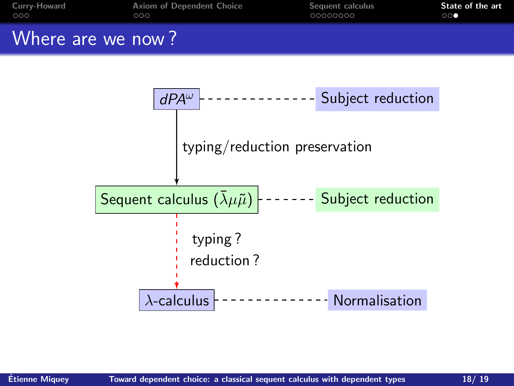